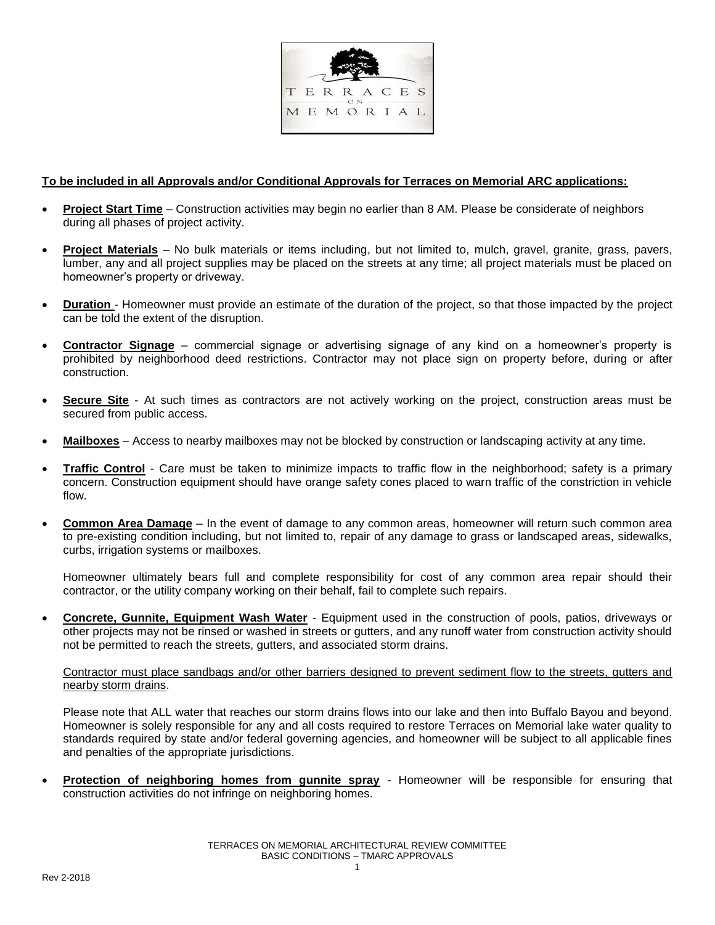

## **To be included in all Approvals and/or Conditional Approvals for Terraces on Memorial ARC applications:**

- **Project Start Time** Construction activities may begin no earlier than 8 AM. Please be considerate of neighbors during all phases of project activity.
- **Project Materials** No bulk materials or items including, but not limited to, mulch, gravel, granite, grass, pavers, lumber, any and all project supplies may be placed on the streets at any time; all project materials must be placed on homeowner's property or driveway.
- **Duration** Homeowner must provide an estimate of the duration of the project, so that those impacted by the project can be told the extent of the disruption.
- **Contractor Signage** commercial signage or advertising signage of any kind on a homeowner's property is prohibited by neighborhood deed restrictions. Contractor may not place sign on property before, during or after construction.
- **Secure Site** At such times as contractors are not actively working on the project, construction areas must be secured from public access.
- **Mailboxes** Access to nearby mailboxes may not be blocked by construction or landscaping activity at any time.
- **Traffic Control** Care must be taken to minimize impacts to traffic flow in the neighborhood; safety is a primary concern. Construction equipment should have orange safety cones placed to warn traffic of the constriction in vehicle flow.
- **Common Area Damage** In the event of damage to any common areas, homeowner will return such common area to pre-existing condition including, but not limited to, repair of any damage to grass or landscaped areas, sidewalks, curbs, irrigation systems or mailboxes.

Homeowner ultimately bears full and complete responsibility for cost of any common area repair should their contractor, or the utility company working on their behalf, fail to complete such repairs.

 **Concrete, Gunnite, Equipment Wash Water** - Equipment used in the construction of pools, patios, driveways or other projects may not be rinsed or washed in streets or gutters, and any runoff water from construction activity should not be permitted to reach the streets, gutters, and associated storm drains.

## Contractor must place sandbags and/or other barriers designed to prevent sediment flow to the streets, gutters and nearby storm drains.

Please note that ALL water that reaches our storm drains flows into our lake and then into Buffalo Bayou and beyond. Homeowner is solely responsible for any and all costs required to restore Terraces on Memorial lake water quality to standards required by state and/or federal governing agencies, and homeowner will be subject to all applicable fines and penalties of the appropriate jurisdictions.

 **Protection of neighboring homes from gunnite spray** - Homeowner will be responsible for ensuring that construction activities do not infringe on neighboring homes.